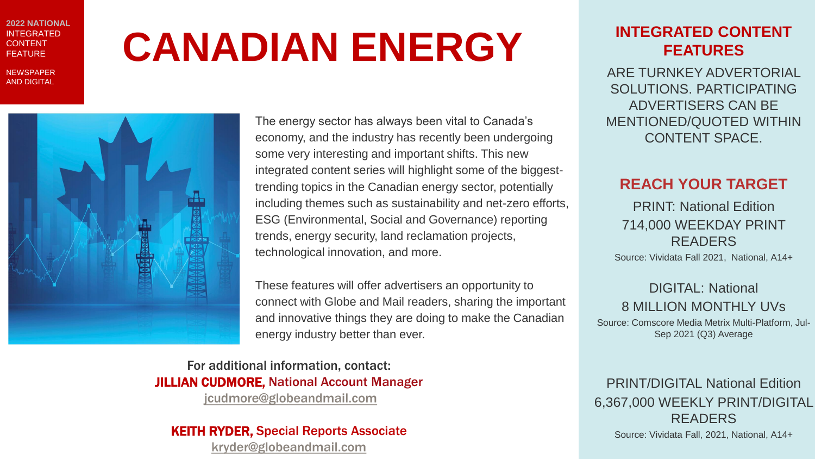EDITORIAL **2022 NATIONAL** INTEGRATED CONTENT FEATURE

NEWSPAPER AND DIGITAL

# **CANADIAN ENERGY**



The energy sector has always been vital to Canada's economy, and the industry has recently been undergoing some very interesting and important shifts. This new integrated content series will highlight some of the biggesttrending topics in the Canadian energy sector, potentially including themes such as sustainability and net-zero efforts, ESG (Environmental, Social and Governance) reporting trends, energy security, land reclamation projects, technological innovation, and more.

These features will offer advertisers an opportunity to connect with Globe and Mail readers, sharing the important and innovative things they are doing to make the Canadian energy industry better than ever.

For additional information, contact: JILLIAN CUDMORE, National Account Manager [jcudmore@globeandmail.com](mailto:jcudmore@globeandmail.com)

KEITH RYDER, Special Reports Associate [kryder@globeandmail.com](mailto:kryder@globeandmail.com)

### **INTEGRATED CONTENT FEATURES**

ARE TURNKEY ADVERTORIAL SOLUTIONS. PARTICIPATING ADVERTISERS CAN BE MENTIONED/QUOTED WITHIN CONTENT SPACE.

### **REACH YOUR TARGET**

PRINT: National Edition 714,000 WEEKDAY PRINT READERS

Source: Vividata Fall 2021, National, A14+

DIGITAL: National 8 MILLION MONTHLY UVs

Source: Comscore Media Metrix Multi-Platform, Jul-Sep 2021 (Q3) Average

### PRINT/DIGITAL National Edition 6,367,000 WEEKLY PRINT/DIGITAL READERS

Source: Vividata Fall, 2021, National, A14+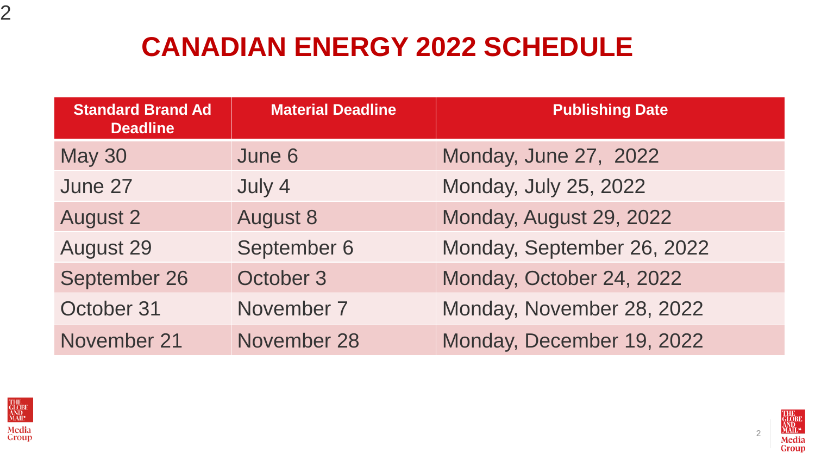## **CANADIAN ENERGY 2022 SCHEDULE**

| <b>Standard Brand Ad</b><br><b>Deadline</b> | <b>Material Deadline</b> | <b>Publishing Date</b>     |
|---------------------------------------------|--------------------------|----------------------------|
| <b>May 30</b>                               | June 6                   | Monday, June 27, 2022      |
| June 27                                     | July 4                   | Monday, July 25, 2022      |
| <b>August 2</b>                             | <b>August 8</b>          | Monday, August 29, 2022    |
| <b>August 29</b>                            | September 6              | Monday, September 26, 2022 |
| September 26                                | October 3                | Monday, October 24, 2022   |
| October 31                                  | November 7               | Monday, November 28, 2022  |
| November 21                                 | November 28              | Monday, December 19, 2022  |



2



2